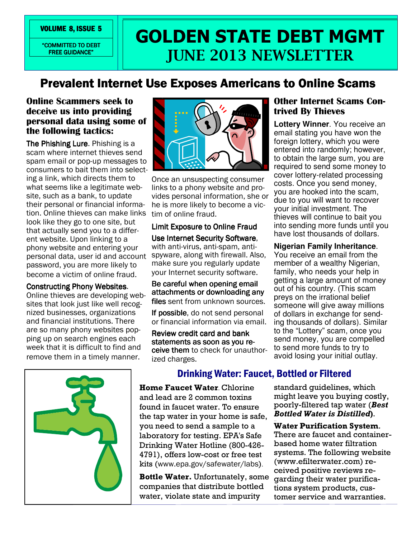"COMMITTED TO DEBT FREE GUIDANCE"

# VOLUME 8, ISSUE 5 **VOLUME 8, ISSUE 5 VOLUME 8, ISSUE 5** JUNE 2013 NEWSLETTER

## Prevalent Internet Use Exposes Americans to Online Scams

## Online Scammers seek to deceive us into providing personal data using some of the following tactics:

The Phishing Lure. Phishing is a scam where internet thieves send spam email or pop-up messages to consumers to bait them into selecting a link, which directs them to what seems like a legitimate website, such as a bank, to update their personal or financial information. Online thieves can make links look like they go to one site, but that actually send you to a different website. Upon linking to a phony website and entering your personal data, user id and account password, you are more likely to become a victim of online fraud.

### **Constructing Phony Websites.**

Online thieves are developing websites that look just like well recognized businesses, organizations and financial institutions. There are so many phony websites popping up on search engines each week that it is difficult to find and remove them in a timely manner.





Once an unsuspecting consumer links to a phony website and provides personal information, she or he is more likely to become a victim of online fraud.

## Limit Exposure to Online Fraud

Use Internet Security Software, with anti-virus, anti-spam, antispyware, along with firewall. Also, make sure you regularly update your Internet security software.

Be careful when opening email attachments or downloading any files sent from unknown sources.

If possible, do not send personal or financial information via email.

Review credit card and bank statements as soon as you receive them to check for unauthorized charges.

## Other Internet Scams Contrived By Thieves

**Lottery Winner**. You receive an email stating you have won the foreign lottery, which you were entered into randomly; however, to obtain the large sum, you are required to send some money to cover lottery-related processing costs. Once you send money, you are hooked into the scam, due to you will want to recover your initial investment. The thieves will continue to bait you into sending more funds until you have lost thousands of dollars.

## **Nigerian Family Inheritance**.

You receive an email from the member of a wealthy Nigerian, family, who needs your help in getting a large amount of money out of his country. (This scam preys on the irrational belief someone will give away millions of dollars in exchange for sending thousands of dollars). Similar to the "Lottery" scam, once you send money, you are compelled to send more funds to try to avoid losing your initial outlay.

# Drinking Water: Faucet, Bottled or Filtered

…

Home Faucet Water. Chlorine and lead are 2 common toxins found in faucet water. To ensure the tap water in your home is safe, you need to send a sample to a laboratory for testing. EPA's Safe Drinking Water Hotline (800-426- 4791), offers low-cost or free test kits (www.epa.gov/safewater/labs).

Bottle Water. Unfortunately, some companies that distribute bottled water, violate state and impurity

standard guidelines, which might leave you buying costly, poorly-filtered tap water (Best Bottled Water is Distilled).

Water Purification System. There are faucet and containerbased home water filtration systems. The following website (www.efilterwater.com) received positive reviews regarding their water purifications system products, customer service and warranties.